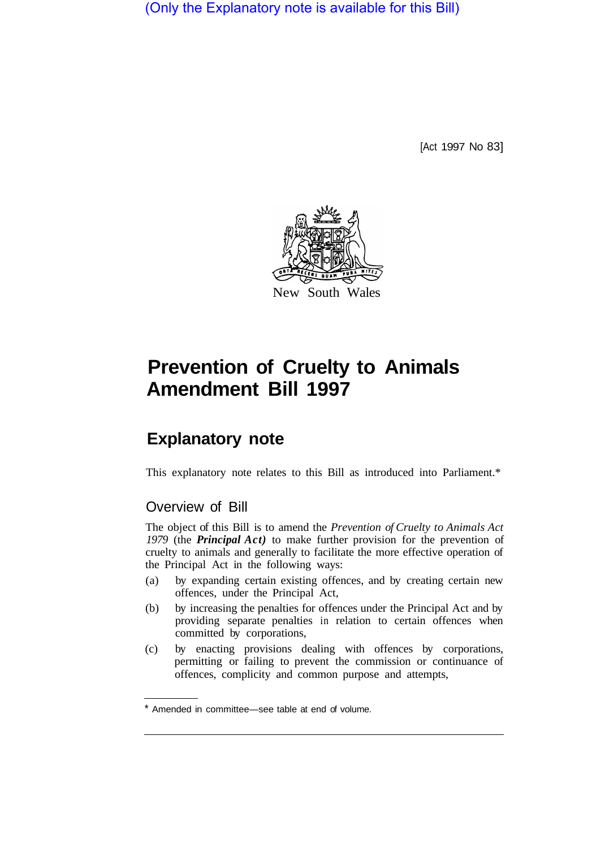(Only the Explanatory note is available for this Bill)

[Act 1997 No 83]



# **Prevention of Cruelty to Animals Amendment Bill 1997**

## **Explanatory note**

This explanatory note relates to this Bill as introduced into Parliament.\*

## Overview of Bill

The object of this Bill is to amend the *Prevention of Cruelty to Animals Act 1979* (the *Principal Act)* to make further provision for the prevention of cruelty to animals and generally to facilitate the more effective operation of the Principal Act in the following ways:

- (a) by expanding certain existing offences, and by creating certain new offences, under the Principal Act,
- (b) by increasing the penalties for offences under the Principal Act and by providing separate penalties in relation to certain offences when committed by corporations,
- (c) by enacting provisions dealing with offences by corporations, permitting or failing to prevent the commission or continuance of offences, complicity and common purpose and attempts,

<sup>\*</sup> Amended in committee—see table at end of volume.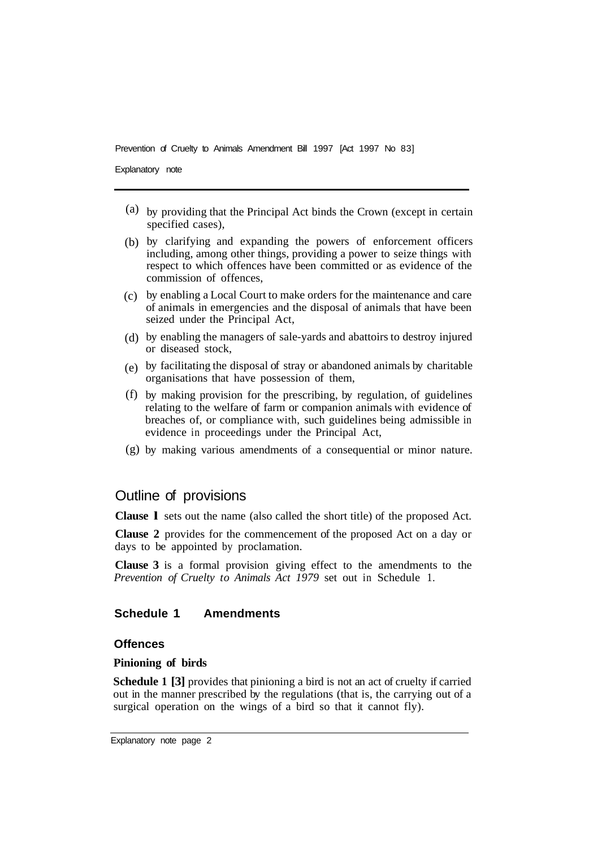Explanatory note

- (a) by providing that the Principal Act binds the Crown (except in certain specified cases).
- by clarifying and expanding the powers of enforcement officers (b) including, among other things, providing a power to seize things with respect to which offences have been committed or as evidence of the commission of offences,
- by enabling a Local Court to make orders for the maintenance and care (c) of animals in emergencies and the disposal of animals that have been seized under the Principal Act,
- by enabling the managers of sale-yards and abattoirs to destroy injured (d) or diseased stock,
- by facilitating the disposal of stray or abandoned animals by charitable (e) organisations that have possession of them,
- by making provision for the prescribing, by regulation, of guidelines (f) relating to the welfare of farm or companion animals with evidence of breaches of, or compliance with, such guidelines being admissible in evidence in proceedings under the Principal Act,
- by making various amendments of a consequential or minor nature. (g)

## Outline of provisions

**Clause l** sets out the name (also called the short title) of the proposed Act.

**Clause 2** provides for the commencement of the proposed Act on a day or days to be appointed by proclamation.

**Clause 3** is a formal provision giving effect to the amendments to the *Prevention of Cruelty to Animals Act 1979* set out in Schedule 1.

## **Schedule 1 Amendments**

## **Offences**

## **Pinioning of birds**

**Schedule 1 [3]** provides that pinioning a bird is not an act of cruelty if carried out in the manner prescribed by the regulations (that is, the carrying out of a surgical operation on the wings of a bird so that it cannot fly).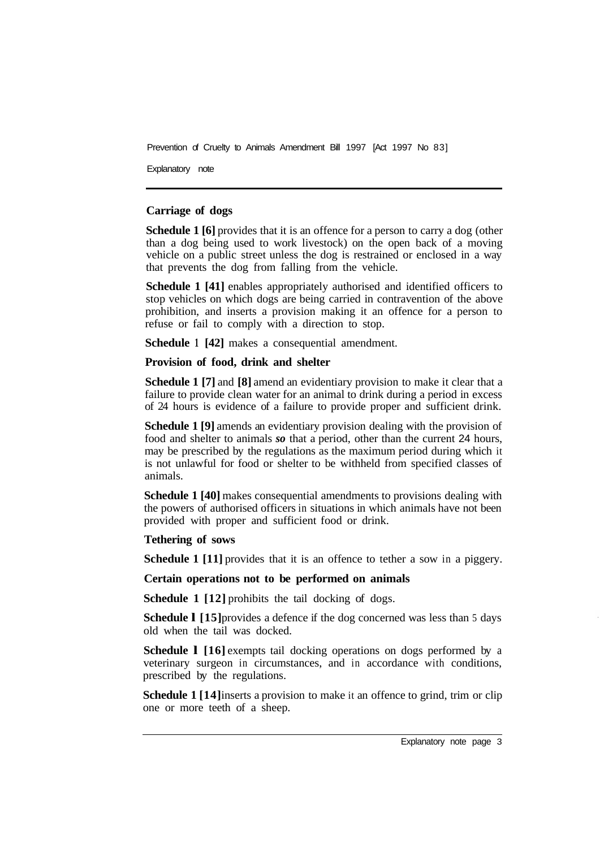Explanatory note

## **Carriage of dogs**

**Schedule 1 [6]** provides that it is an offence for a person to carry a dog (other than a dog being used to work livestock) on the open back of a moving vehicle on a public street unless the dog is restrained or enclosed in a way that prevents the dog from falling from the vehicle.

**Schedule 1 [41]** enables appropriately authorised and identified officers to stop vehicles on which dogs are being carried in contravention of the above prohibition, and inserts a provision making it an offence for a person to refuse or fail to comply with a direction to stop.

**Schedule 1 [42]** makes a consequential amendment.

#### **Provision of food, drink and shelter**

**Schedule 1 [7]** and **[8]** amend an evidentiary provision to make it clear that a failure to provide clean water for an animal to drink during a period in excess of 24 hours is evidence of a failure to provide proper and sufficient drink.

**Schedule 1 [9]** amends an evidentiary provision dealing with the provision of food and shelter to animals *so* that a period, other than the current 24 hours, may be prescribed by the regulations as the maximum period during which it is not unlawful for food or shelter to be withheld from specified classes of animals.

**Schedule 1 [40]** makes consequential amendments to provisions dealing with the powers of authorised officers in situations in which animals have not been provided with proper and sufficient food or drink.

#### **Tethering of sows**

**Schedule 1 [11]** provides that it is an offence to tether a sow in a piggery.

## **Certain operations not to be performed on animals**

**Schedule 1 [12] prohibits the tail docking of dogs.** 

**Schedule 1 [15]** provides a defence if the dog concerned was less than 5 days old when the tail was docked.

**Schedule 1 [16]** exempts tail docking operations on dogs performed by a veterinary surgeon in circumstances, and in accordance with conditions, prescribed by the regulations.

**Schedule 1** [14] inserts a provision to make it an offence to grind, trim or clip one or more teeth of a sheep.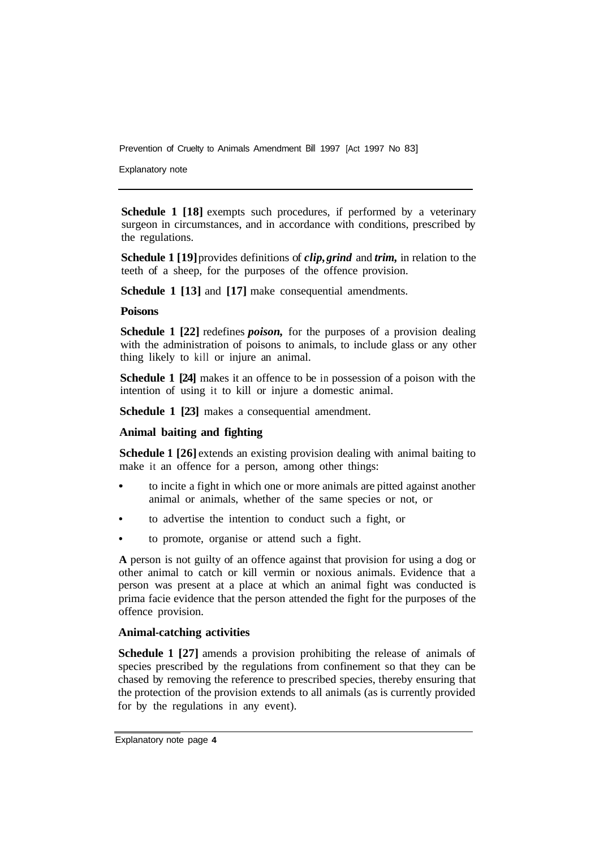Explanatory note

**Schedule 1 [18]** exempts such procedures, if performed by a veterinary surgeon in circumstances, and in accordance with conditions, prescribed by the regulations.

**Schedule 1 [19]** provides definitions of *clip, grind* and *trim,* in relation to the teeth of a sheep, for the purposes of the offence provision.

**Schedule 1 [13]** and **[17]** make consequential amendments.

#### **Poisons**

**Schedule 1 [22] redefines** *poison*, for the purposes of a provision dealing with the administration of poisons to animals, to include glass or any other thing likely to kill or injure an animal.

**Schedule 1 [24]** makes it an offence to be in possession of a poison with the intention of using it to kill or injure a domestic animal.

**Schedule 1 [23]** makes a consequential amendment.

## **Animal baiting and fighting**

**Schedule 1 [26]** extends an existing provision dealing with animal baiting to make it an offence for a person, among other things:

- to incite a fight in which one or more animals are pitted against another animal or animals, whether of the same species or not, or
- to advertise the intention to conduct such a fight, or
- to promote, organise or attend such a fight.

**A** person is not guilty of an offence against that provision for using a dog or other animal to catch or kill vermin or noxious animals. Evidence that a person was present at a place at which an animal fight was conducted is prima facie evidence that the person attended the fight for the purposes of the offence provision.

#### **Animal-catching activities**

**Schedule 1 [27]** amends a provision prohibiting the release of animals of species prescribed by the regulations from confinement so that they can be chased by removing the reference to prescribed species, thereby ensuring that the protection of the provision extends to all animals (as is currently provided for by the regulations in any event).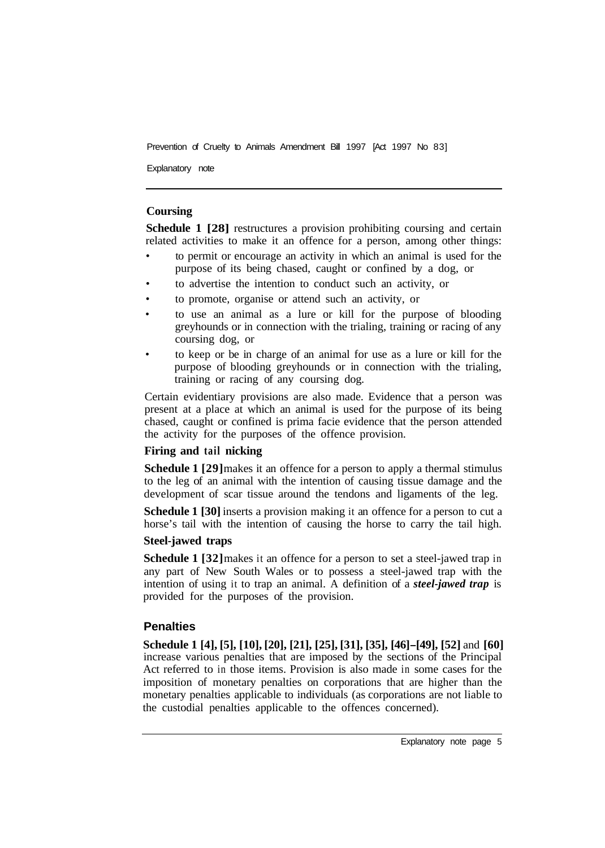Explanatory note

## **Coursing**

**Schedule 1 [28]** restructures a provision prohibiting coursing and certain related activities to make it an offence for a person, among other things:

- to permit or encourage an activity in which an animal is used for the purpose of its being chased, caught or confined by a dog, or
- to advertise the intention to conduct such an activity, or
- to promote, organise or attend such an activity, or
- to use an animal as a lure or kill for the purpose of blooding greyhounds or in connection with the trialing, training or racing of any coursing dog, or
- to keep or be in charge of an animal for use as a lure or kill for the purpose of blooding greyhounds or in connection with the trialing, training or racing of any coursing dog.

Certain evidentiary provisions are also made. Evidence that a person was present at a place at which an animal is used for the purpose of its being chased, caught or confined is prima facie evidence that the person attended the activity for the purposes of the offence provision.

## **Firing and tail nicking**

**Schedule 1 [29]** makes it an offence for a person to apply a thermal stimulus to the leg of an animal with the intention of causing tissue damage and the development of scar tissue around the tendons and ligaments of the leg.

**Schedule 1 [30]** inserts a provision making it an offence for a person to cut a horse's tail with the intention of causing the horse to carry the tail high.

## **Steel-jawed traps**

**Schedule 1 [32]** makes it an offence for a person to set a steel-jawed trap in any part of New South Wales or to possess a steel-jawed trap with the intention of using it to trap an animal. A definition of a *steel-jawed trap* is provided for the purposes of the provision.

## **Penalties**

**Schedule 1 [4], [5], [10], [20], [21], [25], [31], [35], [46]-[49], [52]** and **[60]**  increase various penalties that are imposed by the sections of the Principal Act referred to in those items. Provision is also made in some cases for the imposition of monetary penalties on corporations that are higher than the monetary penalties applicable to individuals (as corporations are not liable to the custodial penalties applicable to the offences concerned).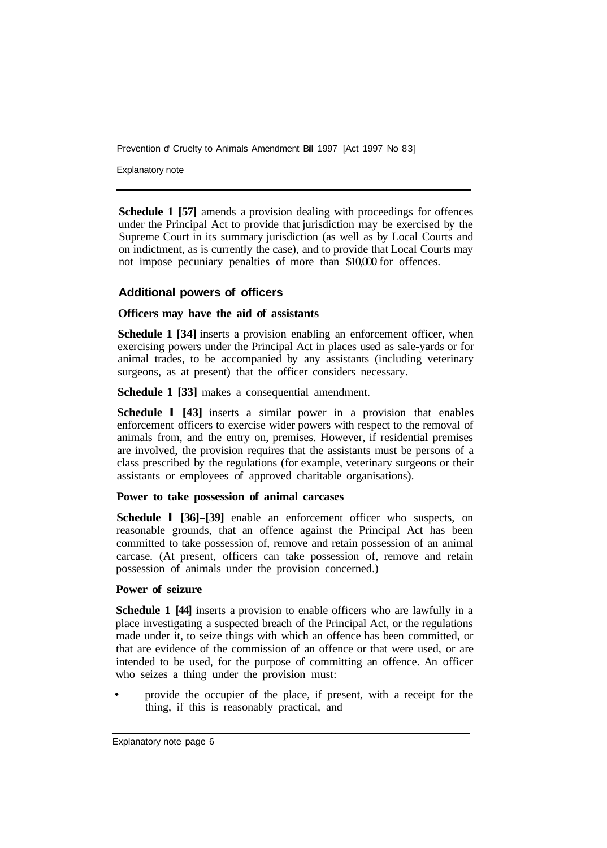Explanatory note

**Schedule 1 [57]** amends a provision dealing with proceedings for offences under the Principal Act to provide that jurisdiction may be exercised by the Supreme Court in its summary jurisdiction (as well as by Local Courts and on indictment, as is currently the case), and to provide that Local Courts may not impose pecuniary penalties of more than \$10,000 for offences.

## **Additional powers of officers**

#### **Officers may have the aid of assistants**

**Schedule 1 [34]** inserts a provision enabling an enforcement officer, when exercising powers under the Principal Act in places used as sale-yards or for animal trades, to be accompanied by any assistants (including veterinary surgeons, as at present) that the officer considers necessary.

**Schedule 1 [33]** makes a consequential amendment.

**Schedule l [43]** inserts a similar power in a provision that enables enforcement officers to exercise wider powers with respect to the removal of animals from, and the entry on, premises. However, if residential premises are involved, the provision requires that the assistants must be persons of a class prescribed by the regulations (for example, veterinary surgeons or their assistants or employees of approved charitable organisations).

#### **Power to take possession of animal carcases**

**Schedule 1 [36]–[39]** enable an enforcement officer who suspects, on reasonable grounds, that an offence against the Principal Act has been committed to take possession of, remove and retain possession of an animal carcase. (At present, officers can take possession of, remove and retain possession of animals under the provision concerned.)

#### **Power of seizure**

**Schedule 1 [44]** inserts a provision to enable officers who are lawfully in a place investigating a suspected breach of the Principal Act, or the regulations made under it, to seize things with which an offence has been committed, or that are evidence of the commission of an offence or that were used, or are intended to be used, for the purpose of committing an offence. An officer who seizes a thing under the provision must:

provide the occupier of the place, if present, with a receipt for the thing, if this is reasonably practical, and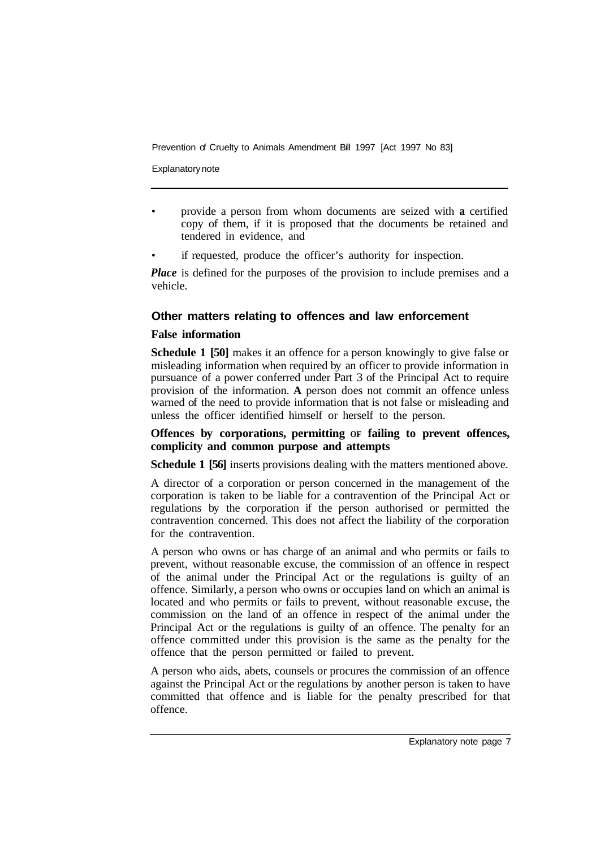Explanatory note

- provide a person from whom documents are seized with **a** certified copy of them, if it is proposed that the documents be retained and tendered in evidence, and
- if requested, produce the officer's authority for inspection.

*Place* is defined for the purposes of the provision to include premises and a vehicle.

## **Other matters relating to offences and law enforcement**

## **False information**

**Schedule 1 [50]** makes it an offence for a person knowingly to give false or misleading information when required by an officer to provide information in pursuance of a power conferred under Part 3 of the Principal Act to require provision of the information. **A** person does not commit an offence unless warned of the need to provide information that is not false or misleading and unless the officer identified himself or herself to the person.

## **Offences by corporations, permitting OF failing to prevent offences, complicity and common purpose and attempts**

**Schedule 1 [56]** inserts provisions dealing with the matters mentioned above.

A director of a corporation or person concerned in the management of the corporation is taken to be liable for a contravention of the Principal Act or regulations by the corporation if the person authorised or permitted the contravention concerned. This does not affect the liability of the corporation for the contravention.

A person who owns or has charge of an animal and who permits or fails to prevent, without reasonable excuse, the commission of an offence in respect of the animal under the Principal Act or the regulations is guilty of an offence. Similarly, a person who owns or occupies land on which an animal is located and who permits or fails to prevent, without reasonable excuse, the commission on the land of an offence in respect of the animal under the Principal Act or the regulations is guilty of an offence. The penalty for an offence committed under this provision is the same as the penalty for the offence that the person permitted or failed to prevent.

A person who aids, abets, counsels or procures the commission of an offence against the Principal Act or the regulations by another person is taken to have committed that offence and is liable for the penalty prescribed for that offence.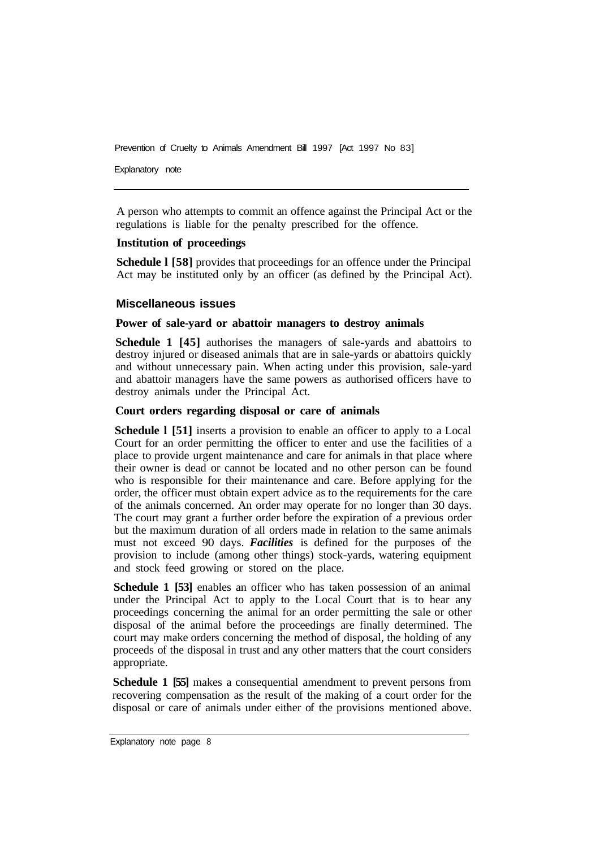Explanatory note

A person who attempts to commit an offence against the Principal Act or the regulations is liable for the penalty prescribed for the offence.

## **Institution of proceedings**

**Schedule l [58]** provides that proceedings for an offence under the Principal Act may be instituted only by an officer (as defined by the Principal Act).

## **Miscellaneous issues**

## **Power of sale-yard or abattoir managers to destroy animals**

**Schedule 1 [45]** authorises the managers of sale-yards and abattoirs to destroy injured or diseased animals that are in sale-yards or abattoirs quickly and without unnecessary pain. When acting under this provision, sale-yard and abattoir managers have the same powers as authorised officers have to destroy animals under the Principal Act.

#### **Court orders regarding disposal or care of animals**

**Schedule l [51]** inserts a provision to enable an officer to apply to a Local Court for an order permitting the officer to enter and use the facilities of a place to provide urgent maintenance and care for animals in that place where their owner is dead or cannot be located and no other person can be found who is responsible for their maintenance and care. Before applying for the order, the officer must obtain expert advice as to the requirements for the care of the animals concerned. An order may operate for no longer than 30 days. The court may grant a further order before the expiration of a previous order but the maximum duration of all orders made in relation to the same animals must not exceed 90 days. *Facilities* is defined for the purposes of the provision to include (among other things) stock-yards, watering equipment and stock feed growing or stored on the place.

**Schedule 1 [53]** enables an officer who has taken possession of an animal under the Principal Act to apply to the Local Court that is to hear any proceedings concerning the animal for an order permitting the sale or other disposal of the animal before the proceedings are finally determined. The court may make orders concerning the method of disposal, the holding of any proceeds of the disposal in trust and any other matters that the court considers appropriate.

**Schedule 1 [55]** makes a consequential amendment to prevent persons from recovering compensation as the result of the making of a court order for the disposal or care of animals under either of the provisions mentioned above.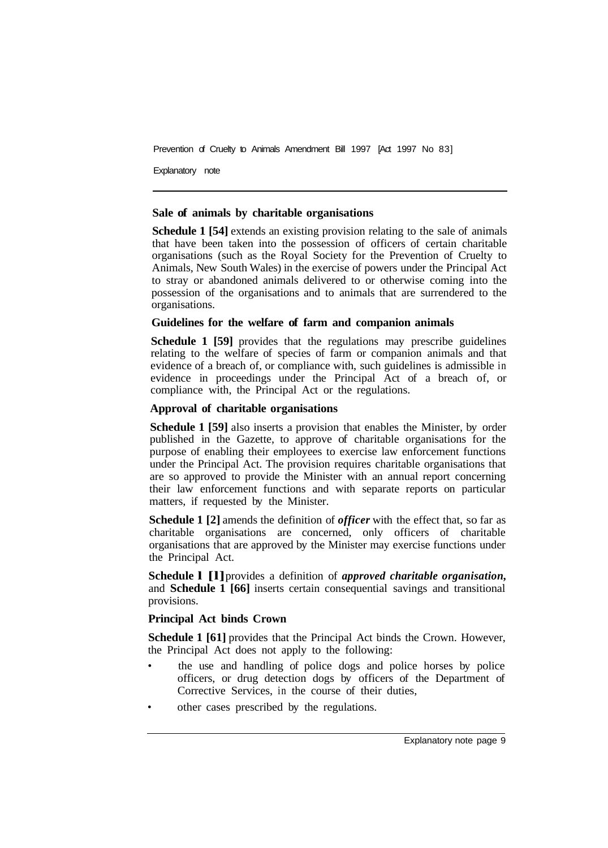Explanatory note

#### **Sale of animals by charitable organisations**

**Schedule 1 [54]** extends an existing provision relating to the sale of animals that have been taken into the possession of officers of certain charitable organisations (such as the Royal Society for the Prevention of Cruelty to Animals, New South Wales) in the exercise of powers under the Principal Act to stray or abandoned animals delivered to or otherwise coming into the possession of the organisations and to animals that are surrendered to the organisations.

## **Guidelines for the welfare of farm and companion animals**

**Schedule 1 [59]** provides that the regulations may prescribe guidelines relating to the welfare of species of farm or companion animals and that evidence of a breach of, or compliance with, such guidelines is admissible in evidence in proceedings under the Principal Act of a breach of, or compliance with, the Principal Act or the regulations.

#### **Approval of charitable organisations**

**Schedule 1 [59]** also inserts a provision that enables the Minister, by order published in the Gazette, to approve of charitable organisations for the purpose of enabling their employees to exercise law enforcement functions under the Principal Act. The provision requires charitable organisations that are so approved to provide the Minister with an annual report concerning their law enforcement functions and with separate reports on particular matters, if requested by the Minister.

**Schedule 1 [2]** amends the definition of *officer* with the effect that, so far as charitable organisations are concerned, only officers of charitable organisations that are approved by the Minister may exercise functions under the Principal Act.

**Schedule l [l]** provides a definition of *approved charitable organisation,*  and **Schedule 1 [66]** inserts certain consequential savings and transitional provisions.

## **Principal Act binds Crown**

**Schedule 1 [61]** provides that the Principal Act binds the Crown. However, the Principal Act does not apply to the following:

- the use and handling of police dogs and police horses by police officers, or drug detection dogs by officers of the Department of Corrective Services, in the course of their duties,
- other cases prescribed by the regulations.